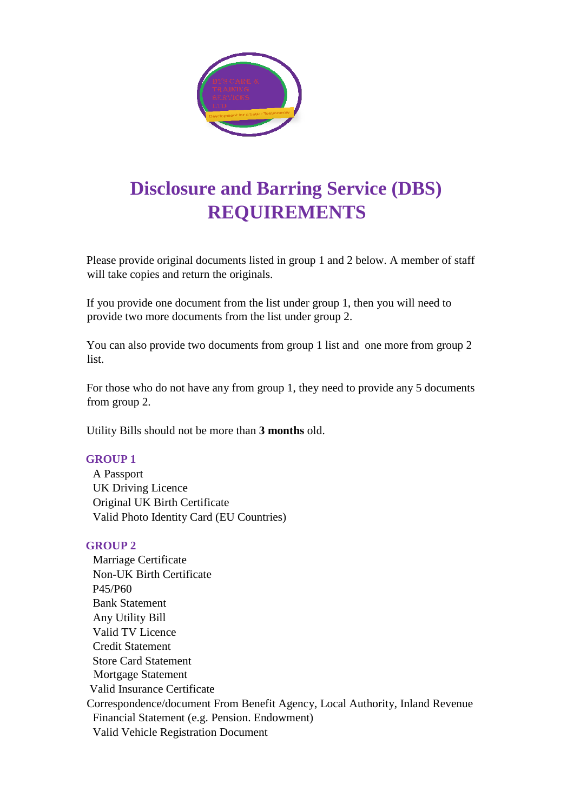

## **Disclosure and Barring Service (DBS) REQUIREMENTS**

Please provide original documents listed in group 1 and 2 below. A member of staff will take copies and return the originals.

If you provide one document from the list under group 1, then you will need to provide two more documents from the list under group 2.

You can also provide two documents from group 1 list and one more from group 2 list.

For those who do not have any from group 1, they need to provide any 5 documents from group 2.

Utility Bills should not be more than **3 months** old.

## **GROUP 1**

A Passport UK Driving Licence Original UK Birth Certificate Valid Photo Identity Card (EU Countries)

## **GROUP 2**

Marriage Certificate Non-UK Birth Certificate P45/P60 Bank Statement Any Utility Bill Valid TV Licence Credit Statement Store Card Statement Mortgage Statement Valid Insurance Certificate Correspondence/document From Benefit Agency, Local Authority, Inland Revenue Financial Statement (e.g. Pension. Endowment) Valid Vehicle Registration Document